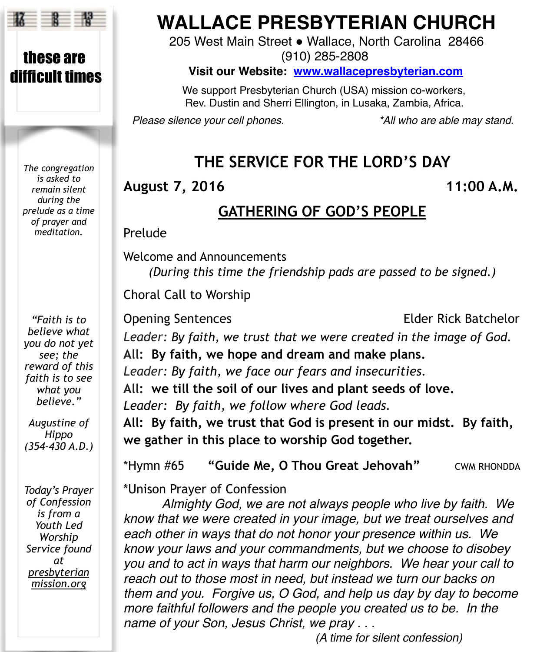

these are difficult times

> *The congregation is asked to remain silent during the prelude as a time of prayer and meditation.*

*"Faith is to believe what you do not yet see; the reward of this faith is to see what you believe."*

*Augustine of Hippo (354-430 A.D.)* 

*Today's Prayer of Confession is from a Youth Led Worship Service found at presbyterian mission.org* 

# **WALLACE PRESBYTERIAN CHURCH**

205 West Main Street . Wallace, North Carolina 28466 (910) 285-2808

**Visit our Website: [www.wallacepresbyterian.com](http://www.wallacepresbyterian.com)**

 We support Presbyterian Church (USA) mission co-workers, Rev. Dustin and Sherri Ellington, in Lusaka, Zambia, Africa.

*Please silence your cell phones. \*All who are able may stand.*

# **THE SERVICE FOR THE LORD'S DAY**

**August 7, 2016 11:00 A.M.**

## **GATHERING OF GOD'S PEOPLE**

**Prelude** 

Welcome and Announcements *(During this time the friendship pads are passed to be signed.)* 

Choral Call to Worship

Opening Sentences Elder Rick Batchelor *Leader: By faith, we trust that we were created in the image of God.* **All: By faith, we hope and dream and make plans.** *Leader: By faith, we face our fears and insecurities.* **All: we till the soil of our lives and plant seeds of love.** *Leader: By faith, we follow where God leads.* **All: By faith, we trust that God is present in our midst. By faith, we gather in this place to worship God together.**

\*Hymn #65 **"Guide Me, O Thou Great Jehovah"** CWM RHONDDA

\*Unison Prayer of Confession

*Almighty God, we are not always people who live by faith. We know that we were created in your image, but we treat ourselves and each other in ways that do not honor your presence within us. We know your laws and your commandments, but we choose to disobey you and to act in ways that harm our neighbors. We hear your call to reach out to those most in need, but instead we turn our backs on them and you. Forgive us, O God, and help us day by day to become more faithful followers and the people you created us to be. In the name of your Son, Jesus Christ, we pray . . .*

! ! ! ! ! *(A time for silent confession)*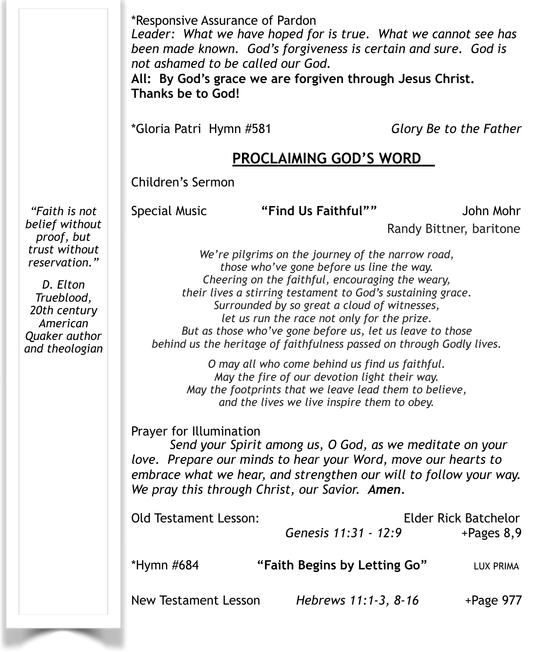*"Faith is not belief without*  \*Responsive Assurance of Pardon *Leader: What we have hoped for is true. What we cannot see has been made known. God's forgiveness is certain and sure. God is not ashamed to be called our God.*  **All: By God's grace we are forgiven through Jesus Christ. Thanks be to God!**  \*Gloria Patri Hymn #581 *Glory Be to the Father* **PROCLAIMING GOD'S WORD** Children's Sermon Special Music **"Find Us Faithful""** John Mohr Randy Bittner, baritone *We're pilgrims on the journey of the narrow road, those who've gone before us line the way. Cheering on the faithful, encouraging the weary, their lives a stirring testament to God's sustaining grace. Surrounded by so great a cloud of witnesses, let us run the race not only for the prize. But as those who've gone before us, let us leave to those behind us the heritage of faithfulness passed on through Godly lives. O may all who come behind us find us faithful. May the fire of our devotion light their way. May the footprints that we leave lead them to believe, and the lives we live inspire them to obey.*  Prayer for Illumination  *Send your Spirit among us, O God, as we meditate on your love. Prepare our minds to hear your Word, move our hearts to embrace what we hear, and strengthen our will to follow your way. We pray this through Christ, our Savior. Amen.*

Old Testament Lesson: Elder Rick Batchelor  *Genesis 11:31 - 12:9* +Pages 8,9 \*Hymn #684 **"Faith Begins by Letting Go"** LUX PRIMA New Testament Lesson Hebrews 11:1-3, 8-16 +Page 977

*proof, but trust without reservation." D. Elton* 

*Trueblood, 20th century American Quaker author and theologian*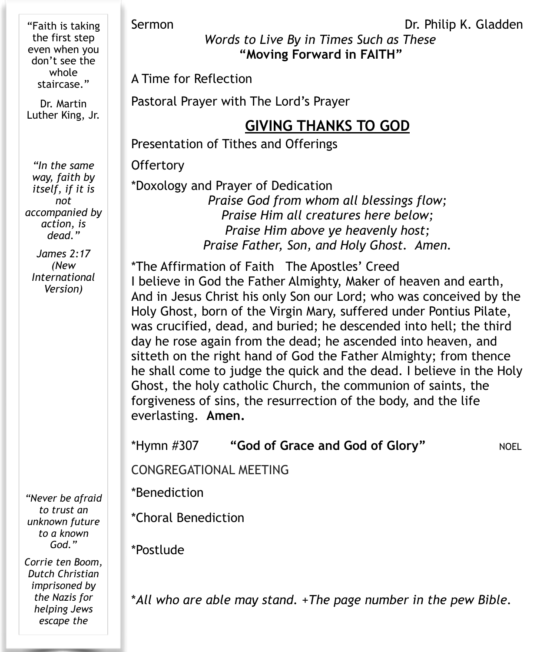"Faith is taking the first step even when you don't see the whole staircase."

Dr. Martin Luther King, Jr.

*"In the same way, faith by itself, if it is not accompanied by action, is dead."* 

*James 2:17 (New International Version)* 

*"Never be afraid to trust an unknown future to a known God."* 

*Corrie ten Boom, Dutch Christian imprisoned by the Nazis for helping Jews escape the* 

*Words to Live By in Times Such as These*

**"Moving Forward in FAITH"** 

A Time for Reflection

Pastoral Prayer with The Lord's Prayer

# **GIVING THANKS TO GOD**

Presentation of Tithes and Offerings

**Offertory** 

\*Doxology and Prayer of Dedication *Praise God from whom all blessings flow; Praise Him all creatures here below; Praise Him above ye heavenly host; Praise Father, Son, and Holy Ghost. Amen.*

\*The Affirmation of Faith The Apostles' Creed I believe in God the Father Almighty, Maker of heaven and earth, And in Jesus Christ his only Son our Lord; who was conceived by the Holy Ghost, born of the Virgin Mary, suffered under Pontius Pilate, was crucified, dead, and buried; he descended into hell; the third day he rose again from the dead; he ascended into heaven, and sitteth on the right hand of God the Father Almighty; from thence he shall come to judge the quick and the dead. I believe in the Holy Ghost, the holy catholic Church, the communion of saints, the forgiveness of sins, the resurrection of the body, and the life everlasting. **Amen.** 

\*Hymn #307 **"God of Grace and God of Glory"** NOEL

CONGREGATIONAL MEETING

\*Benediction !!!!!

\*Choral Benediction

\*Postlude

\**All who are able may stand.* +*The page number in the pew Bible.* 

Sermon Dr. Philip K. Gladden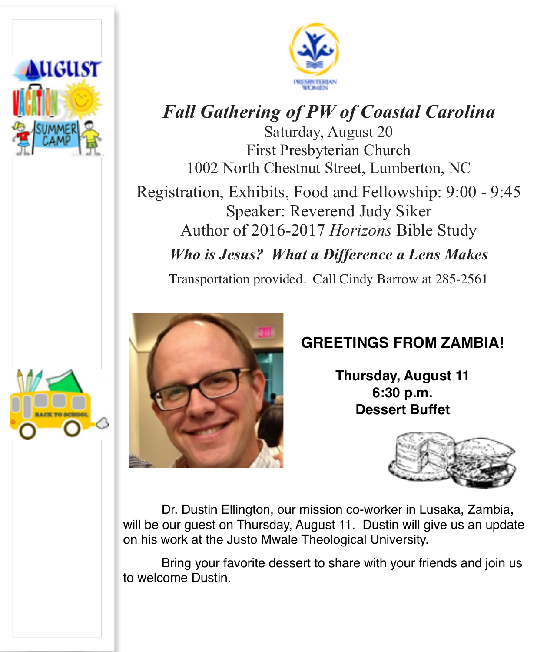

*.*



# *Fall Gathering of PW of Coastal Carolina*

Saturday, August 20 First Presbyterian Church 1002 North Chestnut Street, Lumberton, NC

Registration, Exhibits, Food and Fellowship: 9:00 - 9:45 Speaker: Reverend Judy Siker Author of 2016-2017 *Horizons* Bible Study

*Who is Jesus? What a Difference a Lens Makes*

Transportation provided. Call Cindy Barrow at 285-2561



# **GREETINGS FROM ZAMBIA!**

**Thursday, August 11 6:30 p.m. Dessert Buffet**



Dr. Dustin Ellington, our mission co-worker in Lusaka, Zambia, will be our guest on Thursday, August 11. Dustin will give us an update on his work at the Justo Mwale Theological University.

Bring your favorite dessert to share with your friends and join us to welcome Dustin.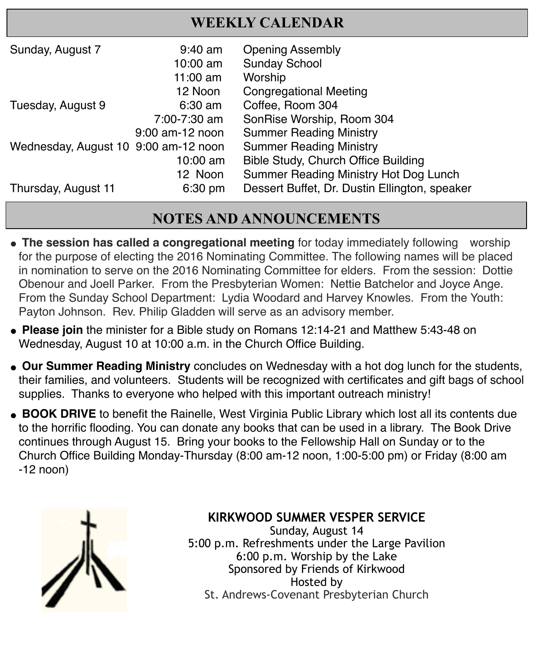## **WEEKLY CALENDAR**

| Sunday, August 7                     | $9:40$ am         | <b>Opening Assembly</b>                       |
|--------------------------------------|-------------------|-----------------------------------------------|
|                                      | 10:00 am          | <b>Sunday School</b>                          |
|                                      | 11:00 $am$        | Worship                                       |
|                                      | 12 Noon           | <b>Congregational Meeting</b>                 |
| Tuesday, August 9                    | $6:30 \text{ am}$ | Coffee, Room 304                              |
|                                      | 7:00-7:30 am      | SonRise Worship, Room 304                     |
|                                      | 9:00 am-12 noon   | <b>Summer Reading Ministry</b>                |
| Wednesday, August 10 9:00 am-12 noon |                   | <b>Summer Reading Ministry</b>                |
|                                      | $10:00$ am        | Bible Study, Church Office Building           |
|                                      | 12 Noon           | Summer Reading Ministry Hot Dog Lunch         |
| Thursday, August 11                  | 6:30 pm           | Dessert Buffet, Dr. Dustin Ellington, speaker |

# **NOTES AND ANNOUNCEMENTS**

- **The session has called a congregational meeting** for today immediately following worship for the purpose of electing the 2016 Nominating Committee. The following names will be placed in nomination to serve on the 2016 Nominating Committee for elders. From the session: Dottie Obenour and Joell Parker. From the Presbyterian Women: Nettie Batchelor and Joyce Ange. From the Sunday School Department: Lydia Woodard and Harvey Knowles. From the Youth: Payton Johnson. Rev. Philip Gladden will serve as an advisory member.
- Please join the minister for a Bible study on Romans 12:14-21 and Matthew 5:43-48 on Wednesday, August 10 at 10:00 a.m. in the Church Office Building.
- **. Our Summer Reading Ministry** concludes on Wednesday with a hot dog lunch for the students, their families, and volunteers. Students will be recognized with certificates and gift bags of school supplies. Thanks to everyone who helped with this important outreach ministry!
- **BOOK DRIVE** to benefit the Rainelle, West Virginia Public Library which lost all its contents due to the horrific flooding. You can donate any books that can be used in a library. The Book Drive continues through August 15. Bring your books to the Fellowship Hall on Sunday or to the Church Office Building Monday-Thursday (8:00 am-12 noon, 1:00-5:00 pm) or Friday (8:00 am -12 noon)



### **KIRKWOOD SUMMER VESPER SERVICE**

Sunday, August 14 5:00 p.m. Refreshments under the Large Pavilion 6:00 p.m. Worship by the Lake Sponsored by Friends of Kirkwood Hosted by St. Andrews-Covenant Presbyterian Church